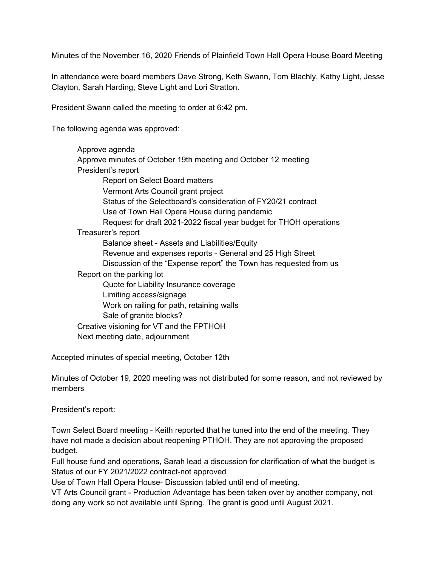Minutes of the November 16, 2020 Friends of Plainfield Town Hall Opera House Board Meeting

In attendance were board members Dave Strong, Keth Swann, Tom Blachly, Kathy Light, Jesse Clayton, Sarah Harding, Steve Light and Lori Stratton.

President Swann called the meeting to order at 6:42 pm.

The following agenda was approved:

Approve agenda Approve minutes of October 19th meeting and October 12 meeting President's report Report on Select Board matters Vermont Arts Council grant project Status of the Selectboard's consideration of FY20/21 contract Use of Town Hall Opera House during pandemic Request for draft 2021-2022 fiscal year budget for THOH operations Treasurer's report Balance sheet - Assets and Liabilities/Equity Revenue and expenses reports - General and 25 High Street Discussion of the "Expense report" the Town has requested from us Report on the parking lot Quote for Liability Insurance coverage Limiting access/signage Work on railing for path, retaining walls Sale of granite blocks? Creative visioning for VT and the FPTHOH Next meeting date, adjournment

Accepted minutes of special meeting, October 12th

Minutes of October 19, 2020 meeting was not distributed for some reason, and not reviewed by members

President's report:

Town Select Board meeting - Keith reported that he tuned into the end of the meeting. They have not made a decision about reopening PTHOH. They are not approving the proposed budget.

Full house fund and operations, Sarah lead a discussion for clarification of what the budget is Status of our FY 2021/2022 contract-not approved

Use of Town Hall Opera House- Discussion tabled until end of meeting.

VT Arts Council grant - Production Advantage has been taken over by another company, not doing any work so not available until Spring. The grant is good until August 2021.